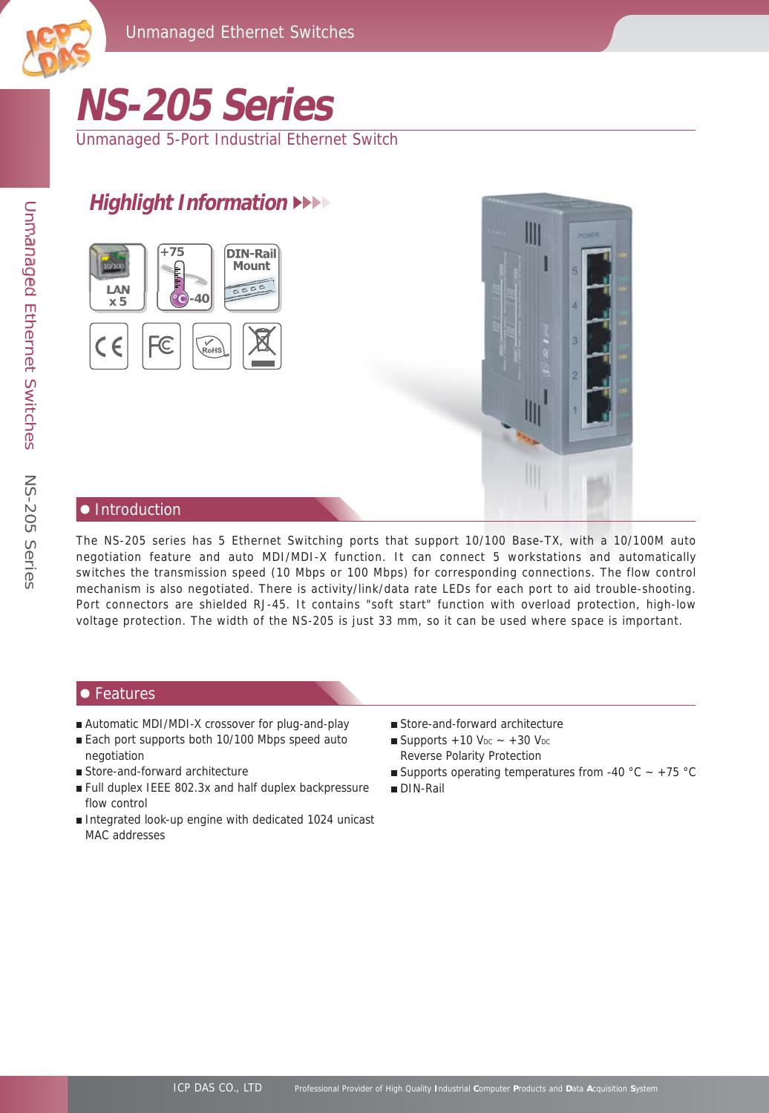



# **NS-205 Series**

Unmanaged 5-Port Industrial Ethernet Switch

# **Highlight Information**





#### **•** Introduction

The NS-205 series has 5 Ethernet Switching ports that support 10/100 Base-TX, with a 10/100M auto negotiation feature and auto MDI/MDI-X function. It can connect 5 workstations and automatically switches the transmission speed (10 Mbps or 100 Mbps) for corresponding connections. The flow control mechanism is also negotiated. There is activity/link/data rate LEDs for each port to aid trouble-shooting. Port connectors are shielded RJ-45. It contains "soft start" function with overload protection, high-low voltage protection. The width of the NS-205 is just 33 mm, so it can be used where space is important.

#### $\bullet$  Features

- Automatic MDI/MDI-X crossover for plug-and-play
- Each port supports both 10/100 Mbps speed auto negotiation
- Store-and-forward architecture
- Full duplex IEEE 802.3x and half duplex backpressure flow control
- Integrated look-up engine with dedicated 1024 unicast MAC addresses
- Store-and-forward architecture
- Reverse Polarity Protection Supports  $+10$  V<sub>DC</sub>  $\sim +30$  V<sub>DC</sub>
- Supports operating temperatures from -40 °C  $\sim$  +75 °C
- DIN-Rail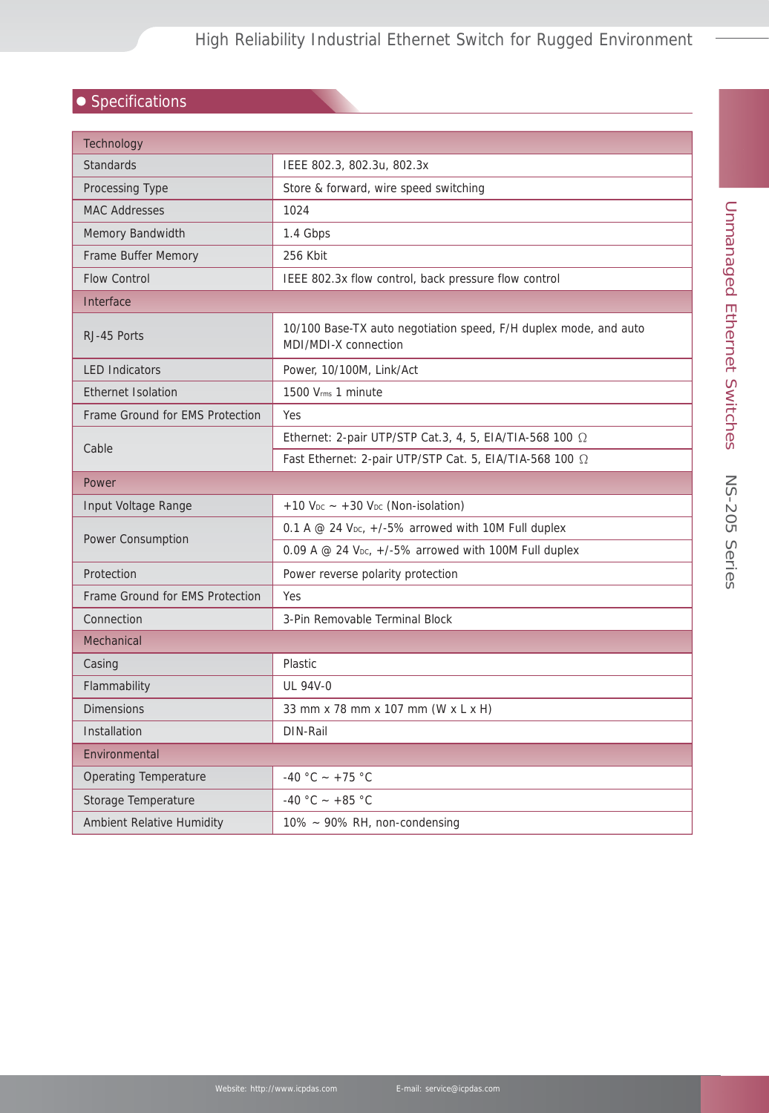## $\bullet$  Specifications

| Technology                       |                                                                                          |  |
|----------------------------------|------------------------------------------------------------------------------------------|--|
| <b>Standards</b>                 | IEEE 802.3, 802.3u, 802.3x                                                               |  |
| Processing Type                  | Store & forward, wire speed switching                                                    |  |
| <b>MAC Addresses</b>             | 1024                                                                                     |  |
| <b>Memory Bandwidth</b>          | 1.4 Gbps                                                                                 |  |
| Frame Buffer Memory              | 256 Kbit                                                                                 |  |
| <b>Flow Control</b>              | IEEE 802.3x flow control, back pressure flow control                                     |  |
| Interface                        |                                                                                          |  |
| RJ-45 Ports                      | 10/100 Base-TX auto negotiation speed, F/H duplex mode, and auto<br>MDI/MDI-X connection |  |
| <b>LED Indicators</b>            | Power, 10/100M, Link/Act                                                                 |  |
| <b>Ethernet Isolation</b>        | 1500 Vrms 1 minute                                                                       |  |
| Frame Ground for EMS Protection  | <b>Yes</b>                                                                               |  |
|                                  | Ethernet: 2-pair UTP/STP Cat.3, 4, 5, EIA/TIA-568 100 $\Omega$                           |  |
| Cable                            | Fast Ethernet: 2-pair UTP/STP Cat. 5, EIA/TIA-568 100 2                                  |  |
| Power                            |                                                                                          |  |
| Input Voltage Range              | $+10$ V <sub>DC</sub> $\sim$ +30 V <sub>DC</sub> (Non-isolation)                         |  |
| Power Consumption                | 0.1 A @ 24 V <sub>pc</sub> , +/-5% arrowed with 10M Full duplex                          |  |
|                                  | 0.09 A $@$ 24 V <sub>pc</sub> , $+/-5\%$ arrowed with 100M Full duplex                   |  |
| Protection                       | Power reverse polarity protection                                                        |  |
| Frame Ground for EMS Protection  | Yes                                                                                      |  |
| Connection                       | 3-Pin Removable Terminal Block                                                           |  |
| Mechanical                       |                                                                                          |  |
| Casing                           | <b>Plastic</b>                                                                           |  |
| Flammability                     | <b>UL 94V-0</b>                                                                          |  |
| <b>Dimensions</b>                | 33 mm x 78 mm x 107 mm (W x L x H)                                                       |  |
| Installation                     | DIN-Rail                                                                                 |  |
| Environmental                    |                                                                                          |  |
| <b>Operating Temperature</b>     | -40 °C ~ +75 °C                                                                          |  |
| Storage Temperature              | -40 °C ~ +85 °C                                                                          |  |
| <b>Ambient Relative Humidity</b> | $10\% \sim 90\%$ RH, non-condensing                                                      |  |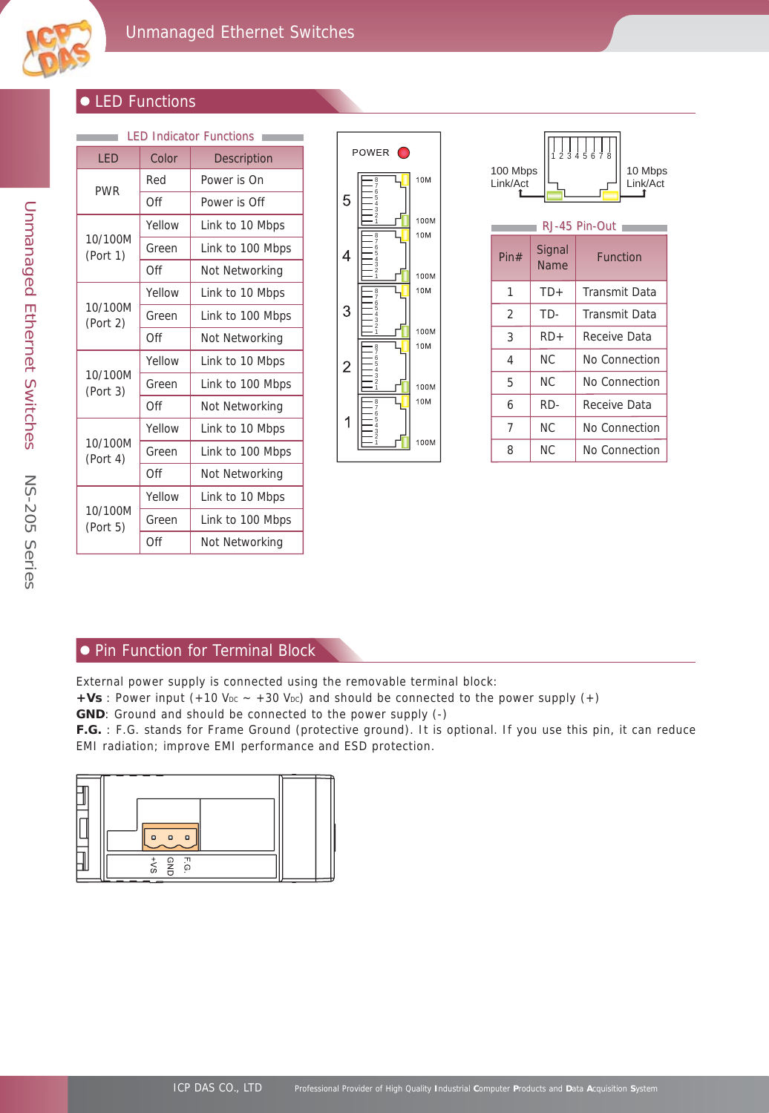

#### $\bullet$  LED Functions

| <b>LED Indicator Functions</b> |        |                  |  |  |
|--------------------------------|--------|------------------|--|--|
| LED                            | Color  | Description      |  |  |
| <b>PWR</b>                     | Red    | Power is On      |  |  |
|                                | Off    | Power is Off     |  |  |
| 10/100M<br>(Port 1)            | Yellow | Link to 10 Mbps  |  |  |
|                                | Green  | Link to 100 Mbps |  |  |
|                                | Off    | Not Networking   |  |  |
| 10/100M<br>(Port 2)            | Yellow | Link to 10 Mbps  |  |  |
|                                | Green  | Link to 100 Mbps |  |  |
|                                | Off    | Not Networking   |  |  |
|                                | Yellow | Link to 10 Mbps  |  |  |
| 10/100M<br>(Port 3)            | Green  | Link to 100 Mbps |  |  |
|                                | Off    | Not Networking   |  |  |
| 10/100M<br>(Port 4)            | Yellow | Link to 10 Mbps  |  |  |
|                                | Green  | Link to 100 Mbps |  |  |
|                                | Off    | Not Networking   |  |  |
| 10/100M<br>(Port 5)            | Yellow | Link to 10 Mbps  |  |  |
|                                | Green  | Link to 100 Mbps |  |  |
|                                | Off    | Not Networking   |  |  |



| 2345678<br>100 Mbps<br>10 Mbps<br>Link/Act<br>Link/Act<br>RJ-45 Pin-Out |                       |                 |  |  |  |
|-------------------------------------------------------------------------|-----------------------|-----------------|--|--|--|
| Pin#                                                                    | Signal<br><b>Name</b> | <b>Function</b> |  |  |  |
| 1                                                                       | $TD+$                 | Transmit Data   |  |  |  |
| 2                                                                       | TD-                   | Transmit Data   |  |  |  |
| 3                                                                       | $RD+$                 | Receive Data    |  |  |  |
| 4                                                                       | N <sub>C</sub>        | No Connection   |  |  |  |
| 5                                                                       | NC.                   | No Connection   |  |  |  |
| 6                                                                       | RD-                   | Receive Data    |  |  |  |
| 7                                                                       | NC.                   | No Connection   |  |  |  |
| 8                                                                       | NC.                   | No Connection   |  |  |  |

#### **• Pin Function for Terminal Block**

External power supply is connected using the removable terminal block:

 $+Vs$ : Power input (+10 V<sub>DC</sub>  $\sim$  +30 V<sub>DC</sub>) and should be connected to the power supply (+)

**GND**: Ground and should be connected to the power supply (-)

**F.G.** : F.G. stands for Frame Ground (protective ground). It is optional. If you use this pin, it can reduce EMI radiation; improve EMI performance and ESD protection.